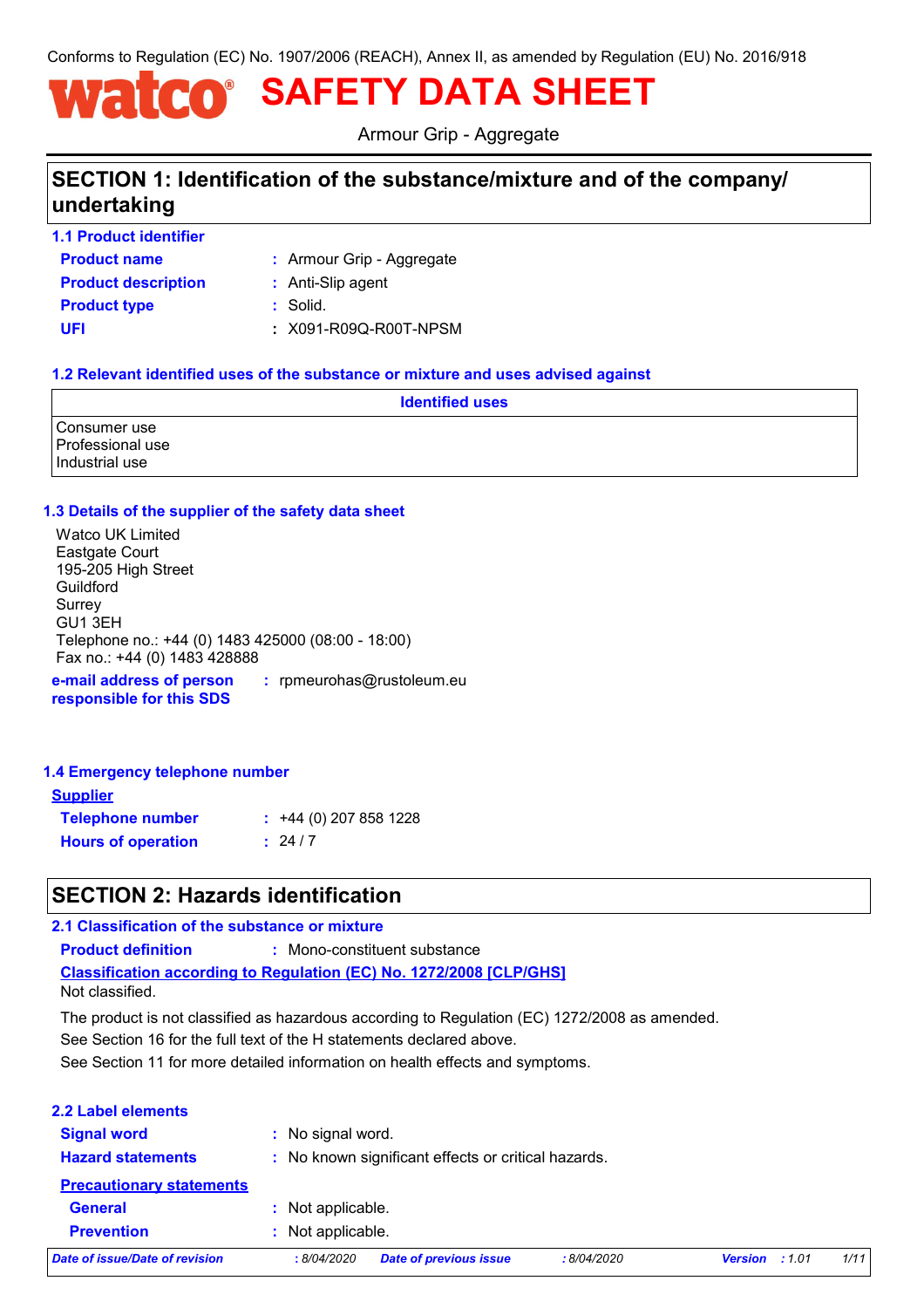Conforms to Regulation (EC) No. 1907/2006 (REACH), Annex II, as amended by Regulation (EU) No. 2016/918

# **SAFETY DATA SHEET** WATCO'

Armour Grip - Aggregate

# **SECTION 1: Identification of the substance/mixture and of the company/ undertaking**

**1.1 Product identifier**

**Product name Product description :** Anti-Slip agent

Armour Grip - Aggregate **:**

**Product type :** Solid.

**UFI :** X091-R09Q-R00T-NPSM

### **1.2 Relevant identified uses of the substance or mixture and uses advised against**

|                                                    | <b>Identified uses</b> |
|----------------------------------------------------|------------------------|
| Consumer use<br>Professional use<br>Industrial use |                        |

#### **1.3 Details of the supplier of the safety data sheet**

**e-mail address of person responsible for this SDS :** rpmeurohas@rustoleum.eu Watco UK Limited Eastgate Court 195-205 High Street Guildford **Surrey** GU1 3EH Telephone no.: +44 (0) 1483 425000 (08:00 - 18:00) Fax no.: +44 (0) 1483 428888

#### **1.4 Emergency telephone number**

| <b>Supplier</b>           |                         |
|---------------------------|-------------------------|
| <b>Telephone number</b>   | $: +44(0)$ 207 858 1228 |
| <b>Hours of operation</b> | : 24/7                  |

# **SECTION 2: Hazards identification**

#### **2.1 Classification of the substance or mixture**

**Product definition :** Mono-constituent substance

**Classification according to Regulation (EC) No. 1272/2008 [CLP/GHS]**

Not classified.

The product is not classified as hazardous according to Regulation (EC) 1272/2008 as amended.

See Section 16 for the full text of the H statements declared above.

See Section 11 for more detailed information on health effects and symptoms.

| 2.2 Label elements                             |                   |                                                     |            |                |       |      |
|------------------------------------------------|-------------------|-----------------------------------------------------|------------|----------------|-------|------|
| <b>Signal word</b><br><b>Hazard statements</b> | : No signal word. | : No known significant effects or critical hazards. |            |                |       |      |
| <b>Precautionary statements</b>                |                   |                                                     |            |                |       |      |
| <b>General</b>                                 | : Not applicable. |                                                     |            |                |       |      |
| <b>Prevention</b>                              | : Not applicable. |                                                     |            |                |       |      |
| Date of issue/Date of revision                 | : 8/04/2020       | <b>Date of previous issue</b>                       | :8/04/2020 | <b>Version</b> | :1.01 | 1/11 |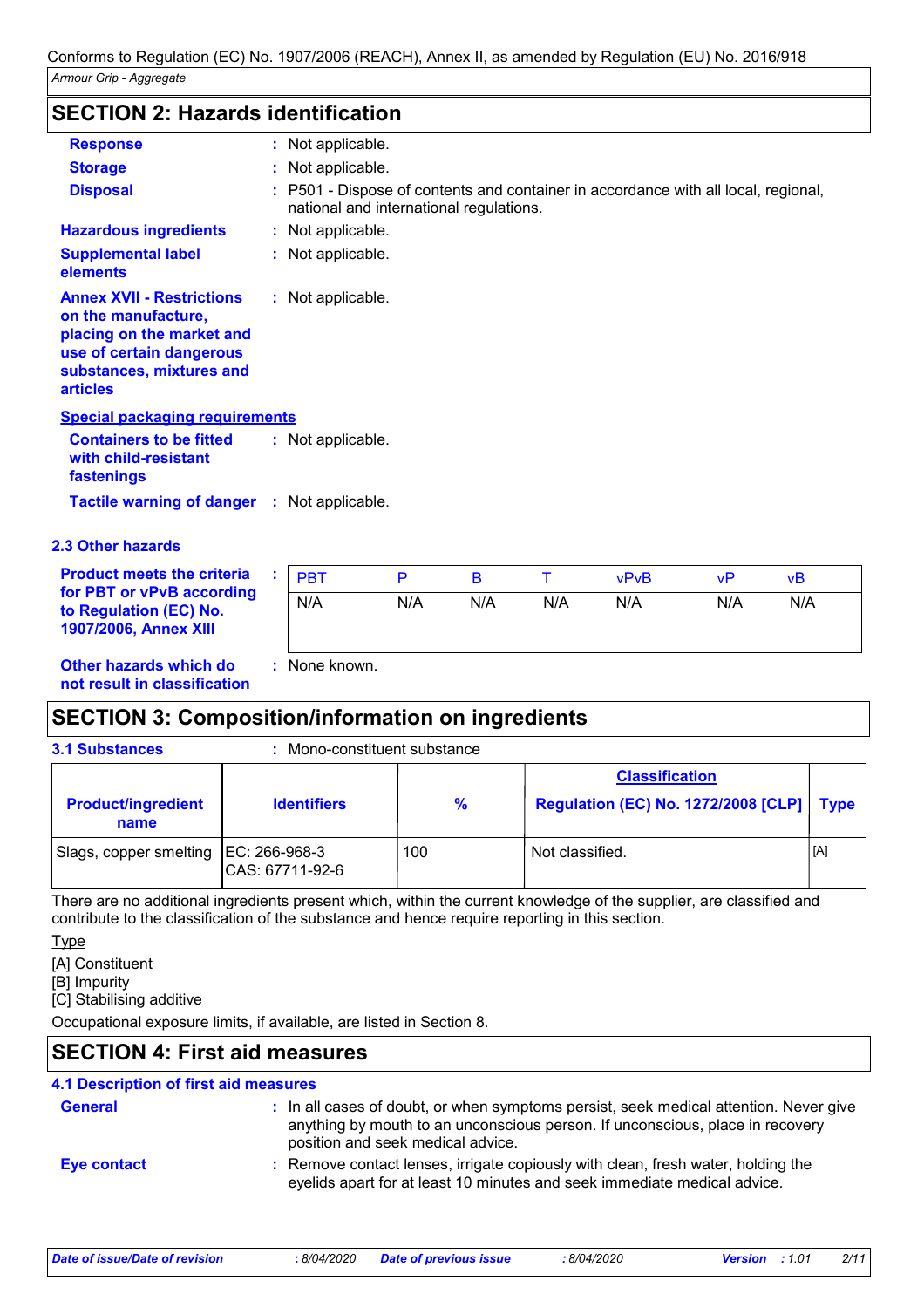## **SECTION 2: Hazards identification**

| <b>Response</b>                                                                                                                                                 | : Not applicable.                                                                                                             |
|-----------------------------------------------------------------------------------------------------------------------------------------------------------------|-------------------------------------------------------------------------------------------------------------------------------|
| <b>Storage</b>                                                                                                                                                  | : Not applicable.                                                                                                             |
| <b>Disposal</b>                                                                                                                                                 | : P501 - Dispose of contents and container in accordance with all local, regional,<br>national and international regulations. |
| <b>Hazardous ingredients</b>                                                                                                                                    | : Not applicable.                                                                                                             |
| <b>Supplemental label</b><br>elements                                                                                                                           | : Not applicable.                                                                                                             |
| <b>Annex XVII - Restrictions</b><br>on the manufacture,<br>placing on the market and<br>use of certain dangerous<br>substances, mixtures and<br><b>articles</b> | : Not applicable.                                                                                                             |
| <b>Special packaging requirements</b>                                                                                                                           |                                                                                                                               |
| <b>Containers to be fitted</b><br>with child-resistant<br>fastenings                                                                                            | : Not applicable.                                                                                                             |
| Tactile warning of danger : Not applicable.                                                                                                                     |                                                                                                                               |

### **2.3 Other hazards**

| <b>Product meets the criteria</b>                                            | <b>PBT</b>  |     |     |     | vPvR | vP  | vΒ  |
|------------------------------------------------------------------------------|-------------|-----|-----|-----|------|-----|-----|
| for PBT or vPvB according<br>to Regulation (EC) No.<br>1907/2006, Annex XIII | N/A         | N/A | N/A | N/A | N/A  | N/A | N/A |
| <b>Other hazards which do</b>                                                | None known. |     |     |     |      |     |     |

**Other hazards which do : not result in classification**

# **SECTION 3: Composition/information on ingredients**

| <b>3.1 Substances</b>                  | Mono-constituent substance |               |                                                                            |     |
|----------------------------------------|----------------------------|---------------|----------------------------------------------------------------------------|-----|
| <b>Product/ingredient</b><br>name      | <b>Identifiers</b>         | $\frac{9}{6}$ | <b>Classification</b><br><b>Regulation (EC) No. 1272/2008 [CLP]   Type</b> |     |
| Slags, copper smelting   EC: 266-968-3 | CAS: 67711-92-6            | 100           | Not classified.                                                            | [A] |

There are no additional ingredients present which, within the current knowledge of the supplier, are classified and contribute to the classification of the substance and hence require reporting in this section.

**Type** 

[A] Constituent

[B] Impurity

[C] Stabilising additive

Occupational exposure limits, if available, are listed in Section 8.

# **SECTION 4: First aid measures**

# **4.1 Description of first aid measures**

| <b>General</b> | : In all cases of doubt, or when symptoms persist, seek medical attention. Never give<br>anything by mouth to an unconscious person. If unconscious, place in recovery<br>position and seek medical advice. |
|----------------|-------------------------------------------------------------------------------------------------------------------------------------------------------------------------------------------------------------|
| Eye contact    | : Remove contact lenses, irrigate copiously with clean, fresh water, holding the<br>eyelids apart for at least 10 minutes and seek immediate medical advice.                                                |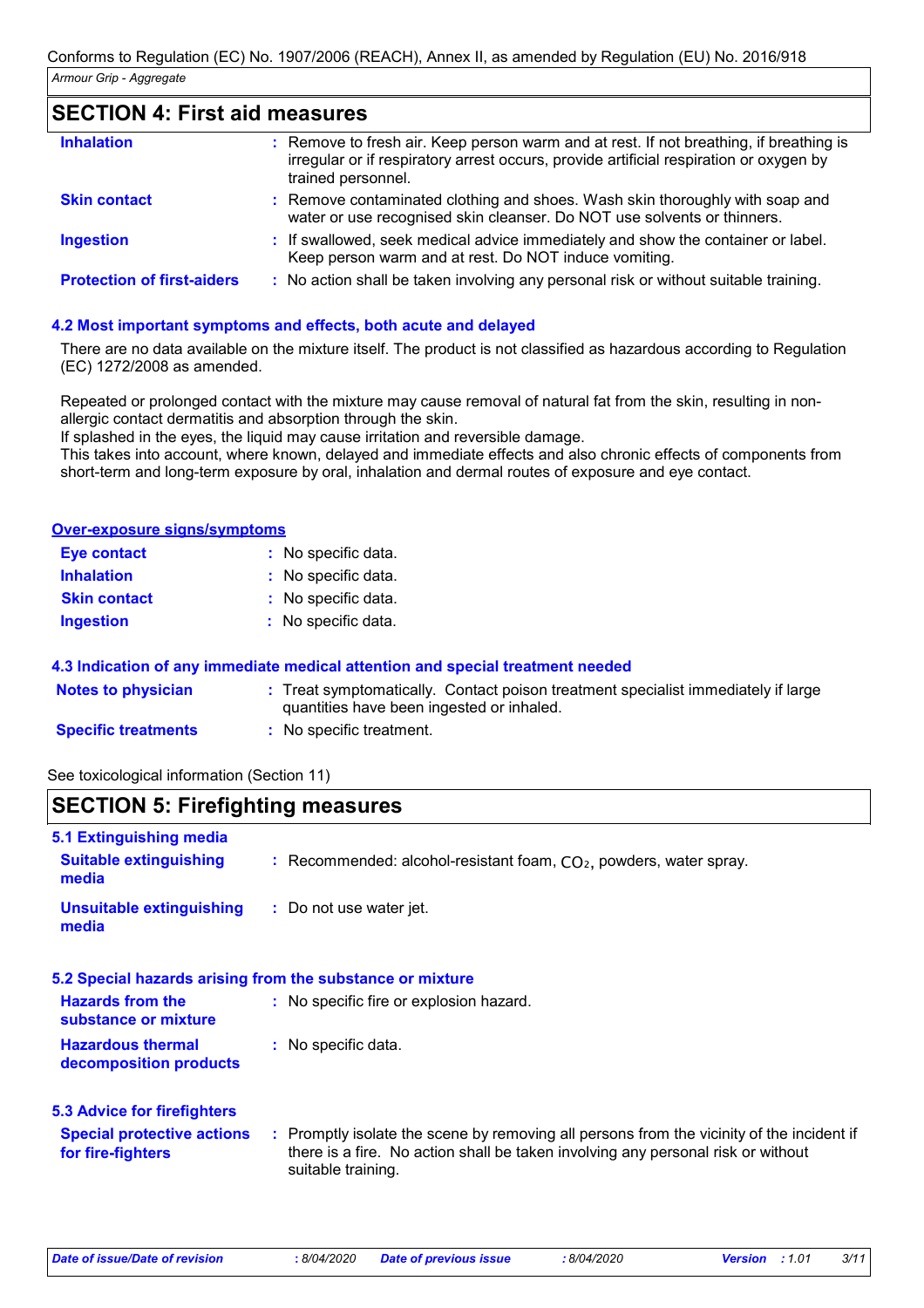### **SECTION 4: First aid measures**

| <b>Inhalation</b>                 | : Remove to fresh air. Keep person warm and at rest. If not breathing, if breathing is<br>irregular or if respiratory arrest occurs, provide artificial respiration or oxygen by<br>trained personnel. |
|-----------------------------------|--------------------------------------------------------------------------------------------------------------------------------------------------------------------------------------------------------|
| <b>Skin contact</b>               | : Remove contaminated clothing and shoes. Wash skin thoroughly with soap and<br>water or use recognised skin cleanser. Do NOT use solvents or thinners.                                                |
| <b>Ingestion</b>                  | : If swallowed, seek medical advice immediately and show the container or label.<br>Keep person warm and at rest. Do NOT induce vomiting.                                                              |
| <b>Protection of first-aiders</b> | : No action shall be taken involving any personal risk or without suitable training.                                                                                                                   |

#### **4.2 Most important symptoms and effects, both acute and delayed**

There are no data available on the mixture itself. The product is not classified as hazardous according to Regulation (EC) 1272/2008 as amended.

Repeated or prolonged contact with the mixture may cause removal of natural fat from the skin, resulting in nonallergic contact dermatitis and absorption through the skin.

If splashed in the eyes, the liquid may cause irritation and reversible damage.

This takes into account, where known, delayed and immediate effects and also chronic effects of components from short-term and long-term exposure by oral, inhalation and dermal routes of exposure and eye contact.

#### **Over-exposure signs/symptoms**

| Eye contact         | : No specific data. |
|---------------------|---------------------|
| <b>Inhalation</b>   | : No specific data. |
| <b>Skin contact</b> | : No specific data. |
| <b>Ingestion</b>    | : No specific data. |

#### **4.3 Indication of any immediate medical attention and special treatment needed**

| <b>Notes to physician</b>  | Treat symptomatically. Contact poison treatment specialist immediately if large |
|----------------------------|---------------------------------------------------------------------------------|
|                            | quantities have been ingested or inhaled.                                       |
| <b>Specific treatments</b> | No specific treatment.                                                          |

See toxicological information (Section 11)

### **SECTION 5: Firefighting measures**

| 5.1 Extinguishing media                                   |                                                                                                                                                                                                     |
|-----------------------------------------------------------|-----------------------------------------------------------------------------------------------------------------------------------------------------------------------------------------------------|
| <b>Suitable extinguishing</b><br>media                    | : Recommended: alcohol-resistant foam, $CO2$ , powders, water spray.                                                                                                                                |
| <b>Unsuitable extinguishing</b><br>media                  | : Do not use water jet.                                                                                                                                                                             |
| 5.2 Special hazards arising from the substance or mixture |                                                                                                                                                                                                     |
| <b>Hazards from the</b><br>substance or mixture           | : No specific fire or explosion hazard.                                                                                                                                                             |
| <b>Hazardous thermal</b><br>decomposition products        | : No specific data.                                                                                                                                                                                 |
| <b>5.3 Advice for firefighters</b>                        |                                                                                                                                                                                                     |
| <b>Special protective actions</b><br>for fire-fighters    | : Promptly isolate the scene by removing all persons from the vicinity of the incident if<br>there is a fire. No action shall be taken involving any personal risk or without<br>suitable training. |
|                                                           |                                                                                                                                                                                                     |

*Date of issue/Date of revision* **:** *8/04/2020 Date of previous issue : 8/04/2020 Version : 1.01 3/11*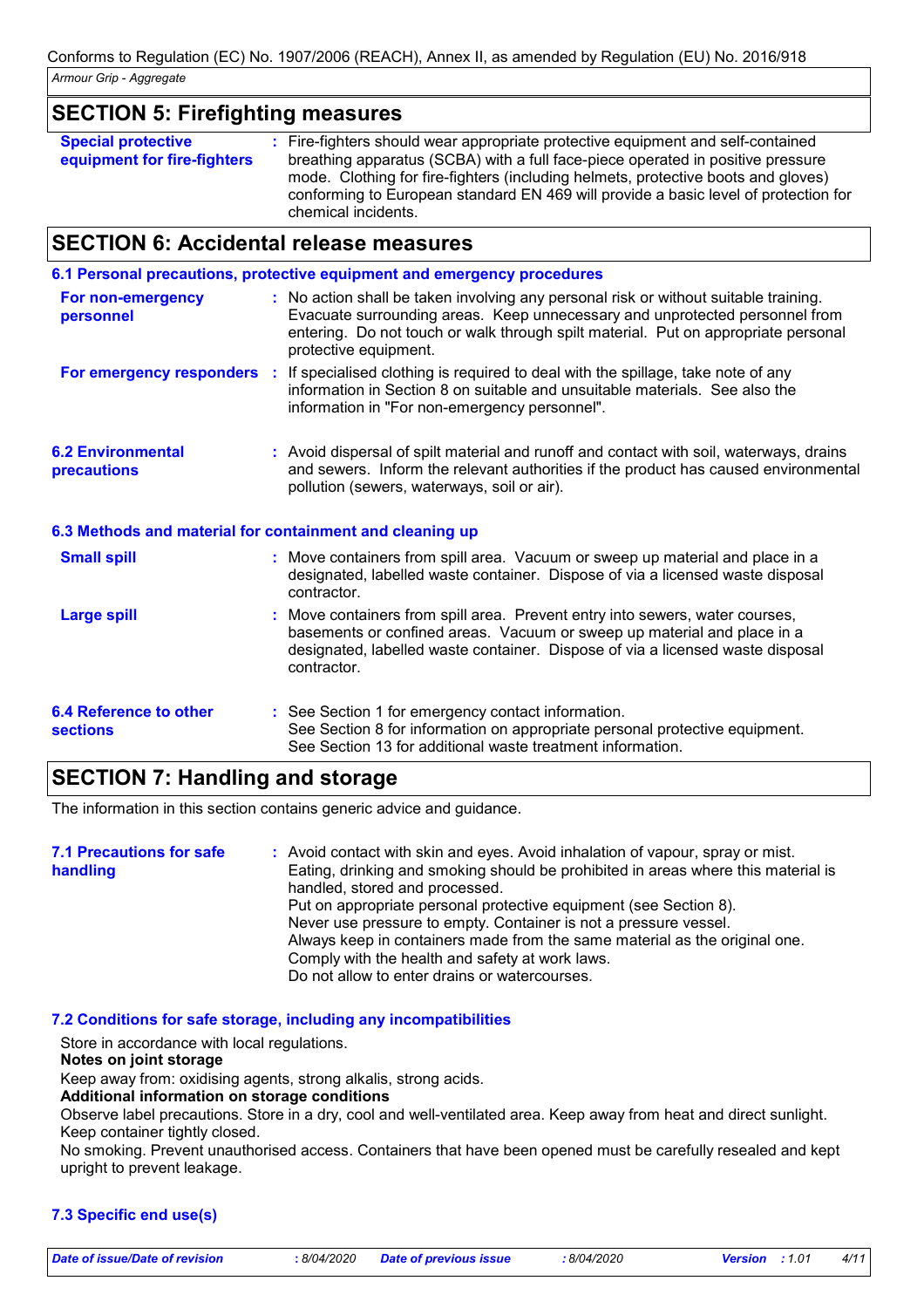### **SECTION 5: Firefighting measures**

| <b>Special protective</b>   | : Fire-fighters should wear appropriate protective equipment and self-contained     |
|-----------------------------|-------------------------------------------------------------------------------------|
| equipment for fire-fighters | breathing apparatus (SCBA) with a full face-piece operated in positive pressure     |
|                             | mode. Clothing for fire-fighters (including helmets, protective boots and gloves)   |
|                             | conforming to European standard EN 469 will provide a basic level of protection for |
|                             | chemical incidents.                                                                 |

### **SECTION 6: Accidental release measures**

|                                                  | 6.1 Personal precautions, protective equipment and emergency procedures                                                                                                                                                                                                            |
|--------------------------------------------------|------------------------------------------------------------------------------------------------------------------------------------------------------------------------------------------------------------------------------------------------------------------------------------|
| For non-emergency<br>personnel                   | : No action shall be taken involving any personal risk or without suitable training.<br>Evacuate surrounding areas. Keep unnecessary and unprotected personnel from<br>entering. Do not touch or walk through spilt material. Put on appropriate personal<br>protective equipment. |
|                                                  | For emergency responders : If specialised clothing is required to deal with the spillage, take note of any<br>information in Section 8 on suitable and unsuitable materials. See also the<br>information in "For non-emergency personnel".                                         |
| <b>6.2 Environmental</b><br>precautions          | : Avoid dispersal of spilt material and runoff and contact with soil, waterways, drains<br>and sewers. Inform the relevant authorities if the product has caused environmental<br>pollution (sewers, waterways, soil or air).                                                      |
|                                                  | 6.3 Methods and material for containment and cleaning up                                                                                                                                                                                                                           |
| <b>Small spill</b>                               | : Move containers from spill area. Vacuum or sweep up material and place in a<br>designated, labelled waste container. Dispose of via a licensed waste disposal<br>contractor.                                                                                                     |
| <b>Large spill</b>                               | : Move containers from spill area. Prevent entry into sewers, water courses,<br>basements or confined areas. Vacuum or sweep up material and place in a<br>designated, labelled waste container. Dispose of via a licensed waste disposal<br>contractor.                           |
| <b>6.4 Reference to other</b><br><b>sections</b> | : See Section 1 for emergency contact information.<br>See Section 8 for information on appropriate personal protective equipment.<br>See Section 13 for additional waste treatment information.                                                                                    |

### **SECTION 7: Handling and storage**

The information in this section contains generic advice and guidance.

#### Avoid contact with skin and eyes. Avoid inhalation of vapour, spray or mist. **:** Eating, drinking and smoking should be prohibited in areas where this material is handled, stored and processed. Put on appropriate personal protective equipment (see Section 8). Never use pressure to empty. Container is not a pressure vessel. Always keep in containers made from the same material as the original one. Comply with the health and safety at work laws. Do not allow to enter drains or watercourses. **7.1 Precautions for safe handling**

#### **7.2 Conditions for safe storage, including any incompatibilities**

Store in accordance with local regulations.

#### **Notes on joint storage**

Keep away from: oxidising agents, strong alkalis, strong acids.

#### **Additional information on storage conditions**

Observe label precautions. Store in a dry, cool and well-ventilated area. Keep away from heat and direct sunlight. Keep container tightly closed.

No smoking. Prevent unauthorised access. Containers that have been opened must be carefully resealed and kept upright to prevent leakage.

### **7.3 Specific end use(s)**

*Date of issue/Date of revision* **:** *8/04/2020 Date of previous issue : 8/04/2020 Version : 1.01 4/11*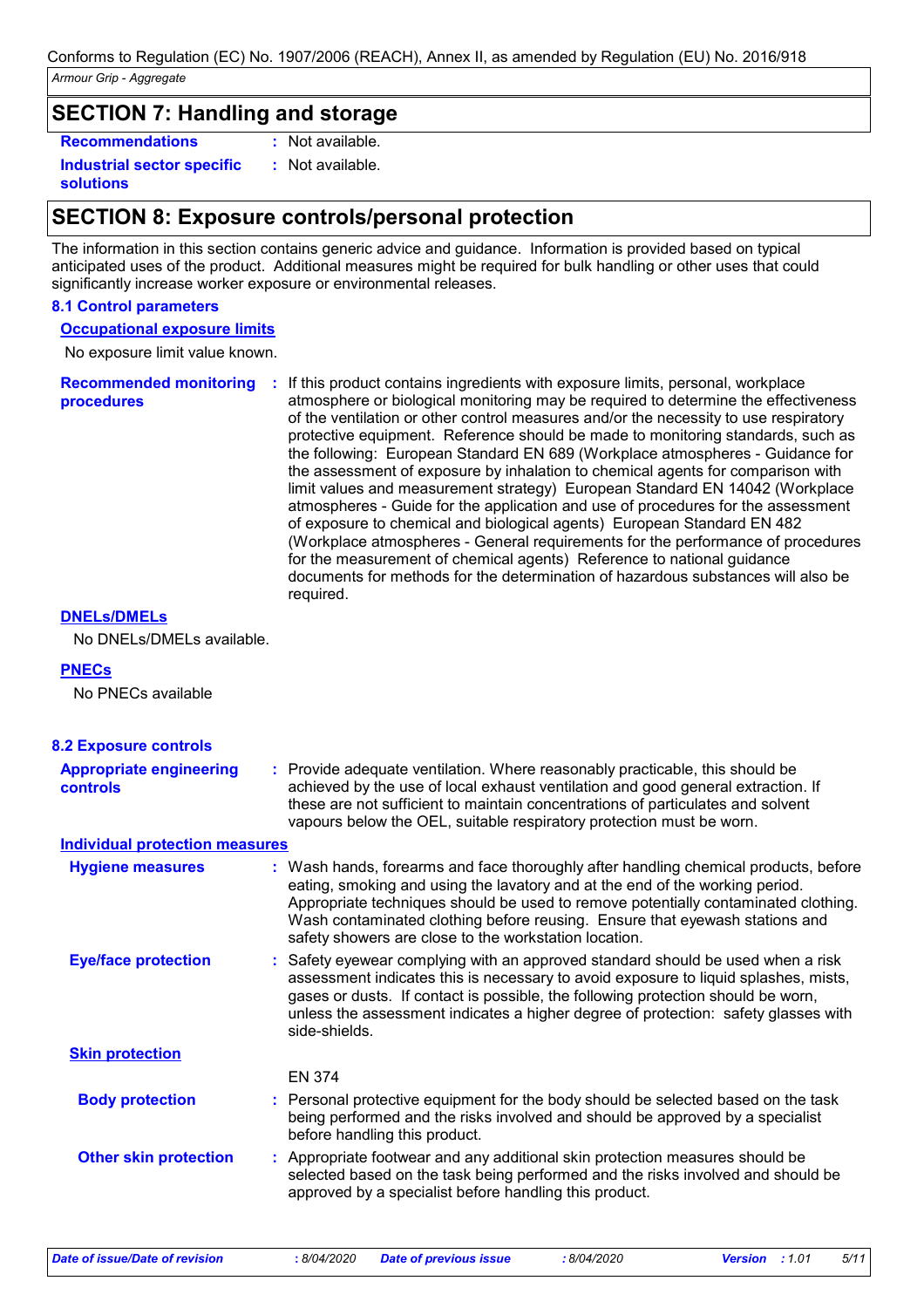### **SECTION 7: Handling and storage**

**Recommendations :**

**Industrial sector specific : solutions**

: Not available. : Not available.

# **SECTION 8: Exposure controls/personal protection**

The information in this section contains generic advice and guidance. Information is provided based on typical anticipated uses of the product. Additional measures might be required for bulk handling or other uses that could significantly increase worker exposure or environmental releases.

#### **8.1 Control parameters**

#### **Occupational exposure limits**

No exposure limit value known.

**Recommended monitoring procedures :** If this product contains ingredients with exposure limits, personal, workplace atmosphere or biological monitoring may be required to determine the effectiveness of the ventilation or other control measures and/or the necessity to use respiratory protective equipment. Reference should be made to monitoring standards, such as the following: European Standard EN 689 (Workplace atmospheres - Guidance for the assessment of exposure by inhalation to chemical agents for comparison with limit values and measurement strategy) European Standard EN 14042 (Workplace atmospheres - Guide for the application and use of procedures for the assessment of exposure to chemical and biological agents) European Standard EN 482 (Workplace atmospheres - General requirements for the performance of procedures for the measurement of chemical agents) Reference to national guidance documents for methods for the determination of hazardous substances will also be required.

#### **DNELs/DMELs**

No DNELs/DMELs available.

#### **PNECs**

No PNECs available

| <b>8.2 Exposure controls</b>                      |                                                                                                                                                                                                                                                                                                                                                                                                   |
|---------------------------------------------------|---------------------------------------------------------------------------------------------------------------------------------------------------------------------------------------------------------------------------------------------------------------------------------------------------------------------------------------------------------------------------------------------------|
| <b>Appropriate engineering</b><br><b>controls</b> | : Provide adequate ventilation. Where reasonably practicable, this should be<br>achieved by the use of local exhaust ventilation and good general extraction. If<br>these are not sufficient to maintain concentrations of particulates and solvent<br>vapours below the OEL, suitable respiratory protection must be worn.                                                                       |
| <b>Individual protection measures</b>             |                                                                                                                                                                                                                                                                                                                                                                                                   |
| <b>Hygiene measures</b>                           | : Wash hands, forearms and face thoroughly after handling chemical products, before<br>eating, smoking and using the lavatory and at the end of the working period.<br>Appropriate techniques should be used to remove potentially contaminated clothing.<br>Wash contaminated clothing before reusing. Ensure that eyewash stations and<br>safety showers are close to the workstation location. |
| <b>Eye/face protection</b>                        | : Safety eyewear complying with an approved standard should be used when a risk<br>assessment indicates this is necessary to avoid exposure to liquid splashes, mists,<br>gases or dusts. If contact is possible, the following protection should be worn,<br>unless the assessment indicates a higher degree of protection: safety glasses with<br>side-shields.                                 |
| <b>Skin protection</b>                            |                                                                                                                                                                                                                                                                                                                                                                                                   |
|                                                   | <b>EN 374</b>                                                                                                                                                                                                                                                                                                                                                                                     |
| <b>Body protection</b>                            | : Personal protective equipment for the body should be selected based on the task<br>being performed and the risks involved and should be approved by a specialist<br>before handling this product.                                                                                                                                                                                               |
| <b>Other skin protection</b>                      | : Appropriate footwear and any additional skin protection measures should be<br>selected based on the task being performed and the risks involved and should be<br>approved by a specialist before handling this product.                                                                                                                                                                         |

*Date of issue/Date of revision* **:** *8/04/2020 Date of previous issue : 8/04/2020 Version : 1.01 5/11*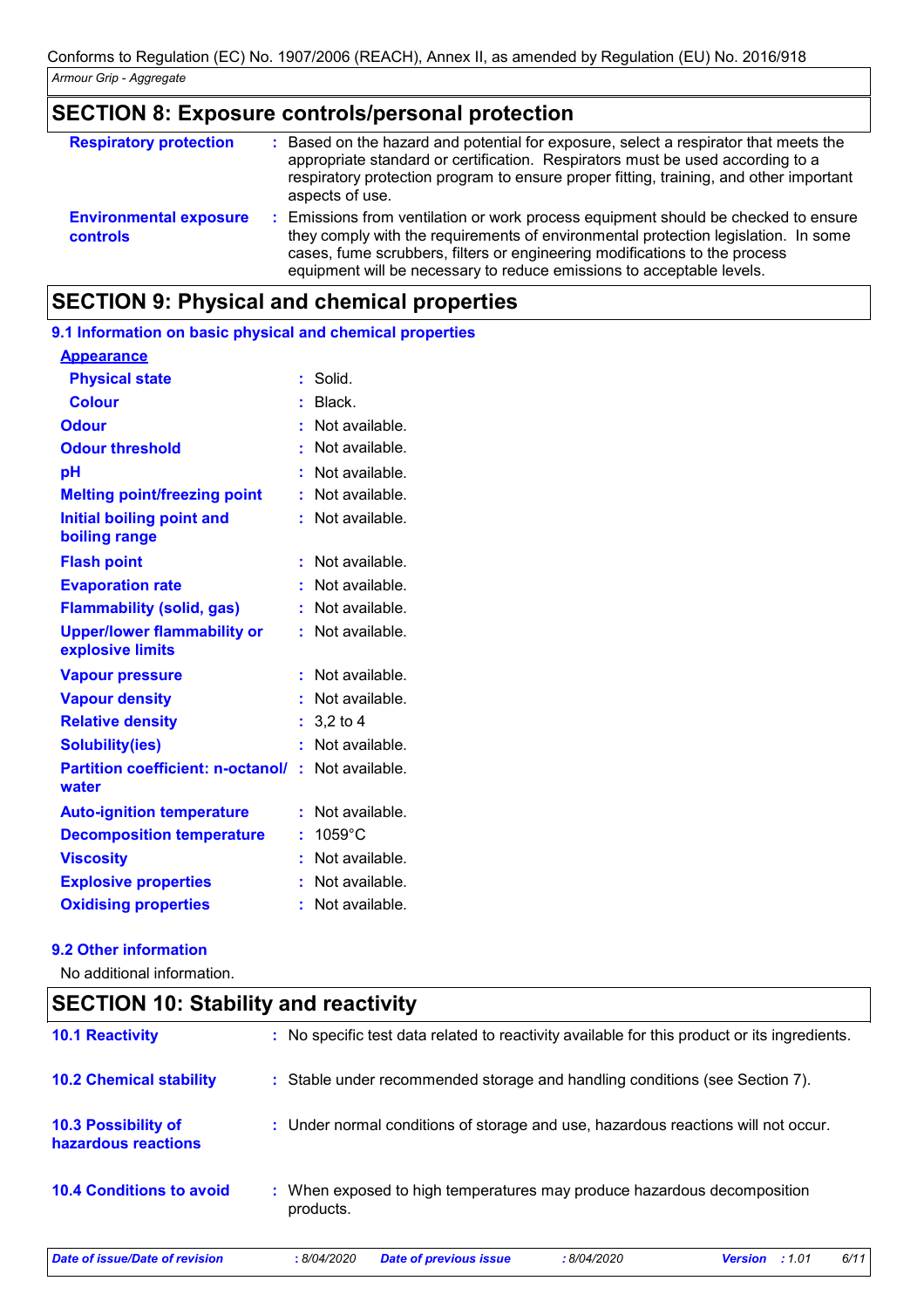# **SECTION 8: Exposure controls/personal protection**

| <b>Respiratory protection</b>                    | Based on the hazard and potential for exposure, select a respirator that meets the<br>appropriate standard or certification. Respirators must be used according to a<br>respiratory protection program to ensure proper fitting, training, and other important<br>aspects of use.                                             |
|--------------------------------------------------|-------------------------------------------------------------------------------------------------------------------------------------------------------------------------------------------------------------------------------------------------------------------------------------------------------------------------------|
| <b>Environmental exposure</b><br><b>controls</b> | Emissions from ventilation or work process equipment should be checked to ensure<br>they comply with the requirements of environmental protection legislation. In some<br>cases, fume scrubbers, filters or engineering modifications to the process<br>equipment will be necessary to reduce emissions to acceptable levels. |

# **SECTION 9: Physical and chemical properties**

| 9.1 Information on basic physical and chemical properties |    |                    |
|-----------------------------------------------------------|----|--------------------|
| <b>Appearance</b>                                         |    |                    |
| <b>Physical state</b>                                     | ÷. | Solid.             |
| <b>Colour</b>                                             |    | Black.             |
| <b>Odour</b>                                              |    | Not available.     |
| <b>Odour threshold</b>                                    |    | Not available.     |
| рH                                                        |    | Not available.     |
| <b>Melting point/freezing point</b>                       | ÷  | Not available.     |
| <b>Initial boiling point and</b><br>boiling range         | ÷. | Not available.     |
| <b>Flash point</b>                                        |    | Not available.     |
| <b>Evaporation rate</b>                                   |    | Not available.     |
| <b>Flammability (solid, gas)</b>                          | ř. | Not available.     |
| <b>Upper/lower flammability or</b><br>explosive limits    | ŧ. | Not available.     |
| <b>Vapour pressure</b>                                    |    | Not available.     |
| <b>Vapour density</b>                                     |    | : Not available.   |
| <b>Relative density</b>                                   |    | $: 3,2$ to 4       |
| <b>Solubility(ies)</b>                                    |    | Not available.     |
| <b>Partition coefficient: n-octanol/</b><br>water         |    | $:$ Not available. |
| <b>Auto-ignition temperature</b>                          |    | Not available.     |
| <b>Decomposition temperature</b>                          | t. | $1059^{\circ}$ C   |
| <b>Viscosity</b>                                          |    | Not available.     |
| <b>Explosive properties</b>                               | ŧ. | Not available.     |
| <b>Oxidising properties</b>                               | ÷  | Not available.     |
|                                                           |    |                    |

#### **9.2 Other information**

No additional information.

# **SECTION 10: Stability and reactivity**

| <b>10.1 Reactivity</b>                            | : No specific test data related to reactivity available for this product or its ingredients.  |
|---------------------------------------------------|-----------------------------------------------------------------------------------------------|
| <b>10.2 Chemical stability</b>                    | : Stable under recommended storage and handling conditions (see Section 7).                   |
| <b>10.3 Possibility of</b><br>hazardous reactions | : Under normal conditions of storage and use, hazardous reactions will not occur.             |
| <b>10.4 Conditions to avoid</b>                   | : When exposed to high temperatures may produce hazardous decomposition<br>products.          |
| Date of issue/Date of revision                    | 6/11<br><b>Date of previous issue</b><br>:8/04/2020<br><b>Version</b><br>: 8/04/2020<br>:1.01 |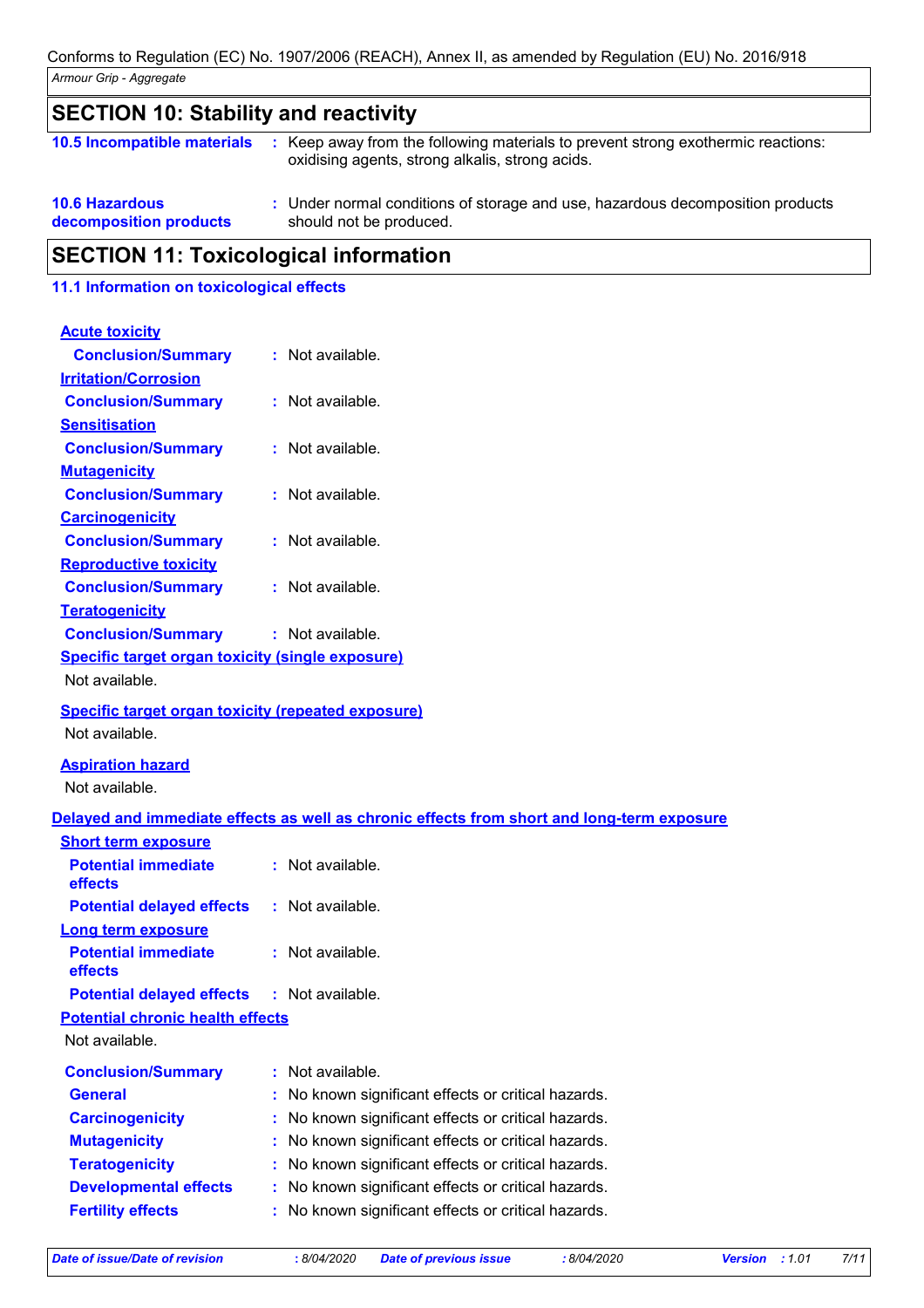| <b>SECTION 10: Stability and reactivity</b>     |  |                                                                                                                                     |
|-------------------------------------------------|--|-------------------------------------------------------------------------------------------------------------------------------------|
| 10.5 Incompatible materials                     |  | : Keep away from the following materials to prevent strong exothermic reactions:<br>oxidising agents, strong alkalis, strong acids. |
| <b>10.6 Hazardous</b><br>decomposition products |  | : Under normal conditions of storage and use, hazardous decomposition products<br>should not be produced.                           |
| <b>SECTION 11: Toxicological information</b>    |  |                                                                                                                                     |

### **11.1 Information on toxicological effects**

| <b>Acute toxicity</b>                                     |                                                                                            |  |
|-----------------------------------------------------------|--------------------------------------------------------------------------------------------|--|
| <b>Conclusion/Summary</b>                                 | : Not available.                                                                           |  |
| <b>Irritation/Corrosion</b>                               |                                                                                            |  |
| <b>Conclusion/Summary</b>                                 | : Not available.                                                                           |  |
| <b>Sensitisation</b>                                      |                                                                                            |  |
| <b>Conclusion/Summary</b>                                 | : Not available.                                                                           |  |
| <b>Mutagenicity</b>                                       |                                                                                            |  |
| <b>Conclusion/Summary</b>                                 | : Not available.                                                                           |  |
| <b>Carcinogenicity</b>                                    |                                                                                            |  |
| <b>Conclusion/Summary</b>                                 | : Not available.                                                                           |  |
| <b>Reproductive toxicity</b>                              |                                                                                            |  |
| <b>Conclusion/Summary</b>                                 | : Not available.                                                                           |  |
| <b>Teratogenicity</b>                                     |                                                                                            |  |
| <b>Conclusion/Summary</b>                                 | : Not available.                                                                           |  |
| <b>Specific target organ toxicity (single exposure)</b>   |                                                                                            |  |
| Not available.                                            |                                                                                            |  |
| <b>Specific target organ toxicity (repeated exposure)</b> |                                                                                            |  |
| Not available.                                            |                                                                                            |  |
| <b>Aspiration hazard</b>                                  |                                                                                            |  |
| Not available.                                            |                                                                                            |  |
|                                                           | Delayed and immediate effects as well as chronic effects from short and long-term exposure |  |
| <b>Short term exposure</b>                                |                                                                                            |  |
| <b>Potential immediate</b><br>effects                     | : Not available.                                                                           |  |
| <b>Potential delayed effects</b>                          | : Not available.                                                                           |  |
|                                                           |                                                                                            |  |
| <b>Long term exposure</b>                                 |                                                                                            |  |
| <b>Potential immediate</b><br>effects                     | : Not available.                                                                           |  |
| <b>Potential delayed effects : Not available.</b>         |                                                                                            |  |
| <b>Potential chronic health effects</b>                   |                                                                                            |  |
| Not available.                                            |                                                                                            |  |
| <b>Conclusion/Summary</b>                                 | Not available.                                                                             |  |
| <b>General</b>                                            | No known significant effects or critical hazards.                                          |  |
| <b>Carcinogenicity</b>                                    | No known significant effects or critical hazards.                                          |  |
| <b>Mutagenicity</b>                                       | No known significant effects or critical hazards.                                          |  |
| <b>Teratogenicity</b>                                     | No known significant effects or critical hazards.                                          |  |
| <b>Developmental effects</b>                              | No known significant effects or critical hazards.                                          |  |
| <b>Fertility effects</b>                                  | No known significant effects or critical hazards.                                          |  |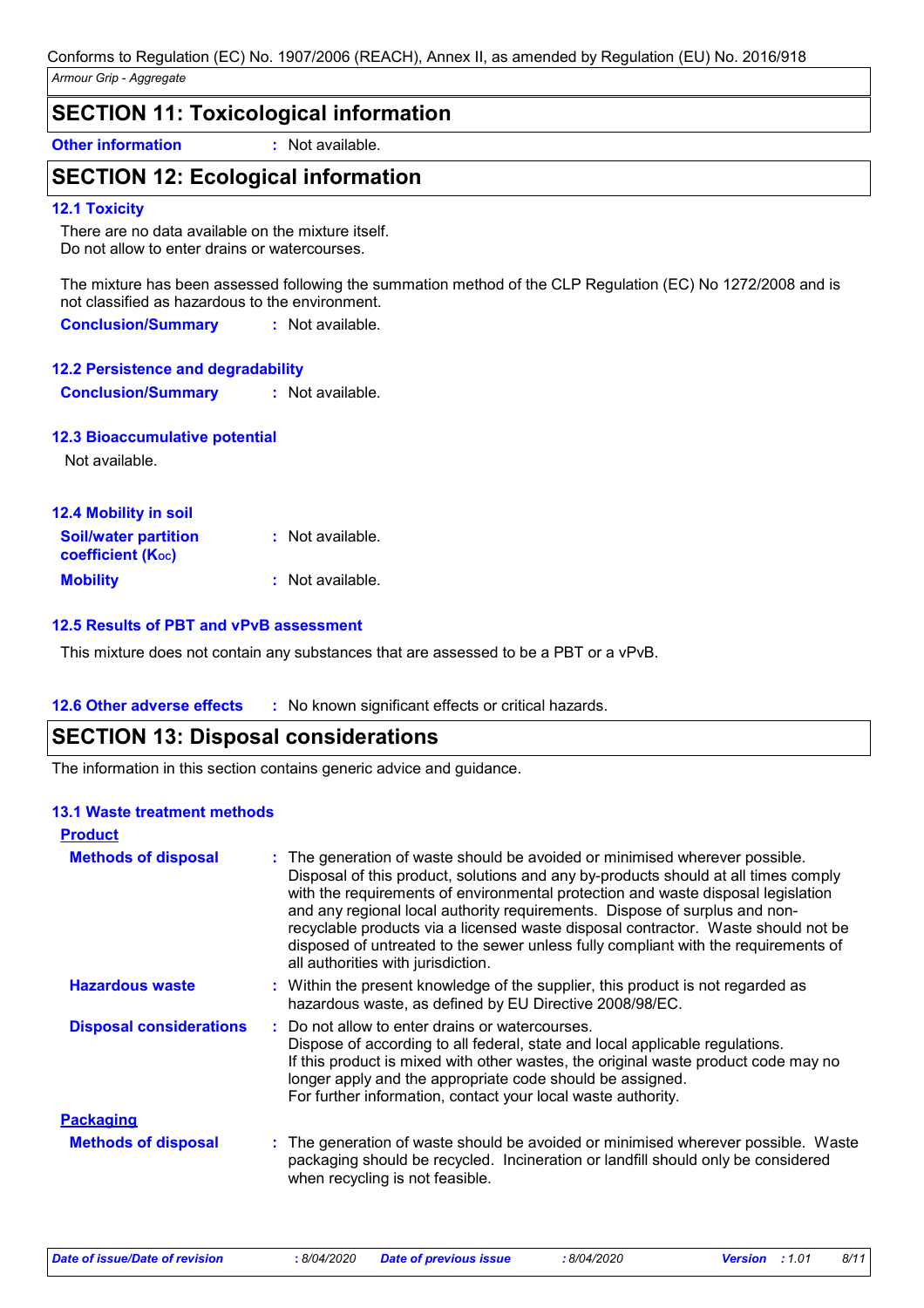| <b>SECTION 11: Toxicological information</b> |                  |  |
|----------------------------------------------|------------------|--|
| <b>Other information</b>                     | : Not available. |  |

# **SECTION 12: Ecological information**

#### **12.1 Toxicity**

There are no data available on the mixture itself. Do not allow to enter drains or watercourses.

The mixture has been assessed following the summation method of the CLP Regulation (EC) No 1272/2008 and is not classified as hazardous to the environment.

**Conclusion/Summary :** Not available.

#### **12.2 Persistence and degradability**

**Conclusion/Summary :** Not available.

#### **12.3 Bioaccumulative potential**

Not available.

| 12.4 Mobility in soil                                   |                  |
|---------------------------------------------------------|------------------|
| <b>Soil/water partition</b><br><b>coefficient (Koc)</b> | : Not available. |
| <b>Mobility</b>                                         | : Not available. |

#### **12.5 Results of PBT and vPvB assessment**

This mixture does not contain any substances that are assessed to be a PBT or a vPvB.

#### **12.6 Other adverse effects** : No known significant effects or critical hazards.

### **SECTION 13: Disposal considerations**

The information in this section contains generic advice and guidance.

#### **13.1 Waste treatment methods**

| <b>Product</b>                 |                                                                                                                                                                                                                                                                                                                                                                                                                                                                                                                                                      |
|--------------------------------|------------------------------------------------------------------------------------------------------------------------------------------------------------------------------------------------------------------------------------------------------------------------------------------------------------------------------------------------------------------------------------------------------------------------------------------------------------------------------------------------------------------------------------------------------|
| <b>Methods of disposal</b>     | : The generation of waste should be avoided or minimised wherever possible.<br>Disposal of this product, solutions and any by-products should at all times comply<br>with the requirements of environmental protection and waste disposal legislation<br>and any regional local authority requirements. Dispose of surplus and non-<br>recyclable products via a licensed waste disposal contractor. Waste should not be<br>disposed of untreated to the sewer unless fully compliant with the requirements of<br>all authorities with jurisdiction. |
| <b>Hazardous waste</b>         | : Within the present knowledge of the supplier, this product is not regarded as<br>hazardous waste, as defined by EU Directive 2008/98/EC.                                                                                                                                                                                                                                                                                                                                                                                                           |
| <b>Disposal considerations</b> | : Do not allow to enter drains or watercourses.<br>Dispose of according to all federal, state and local applicable regulations.<br>If this product is mixed with other wastes, the original waste product code may no<br>longer apply and the appropriate code should be assigned.<br>For further information, contact your local waste authority.                                                                                                                                                                                                   |
| <b>Packaging</b>               |                                                                                                                                                                                                                                                                                                                                                                                                                                                                                                                                                      |
| <b>Methods of disposal</b>     | : The generation of waste should be avoided or minimised wherever possible. Waste<br>packaging should be recycled. Incineration or landfill should only be considered<br>when recycling is not feasible.                                                                                                                                                                                                                                                                                                                                             |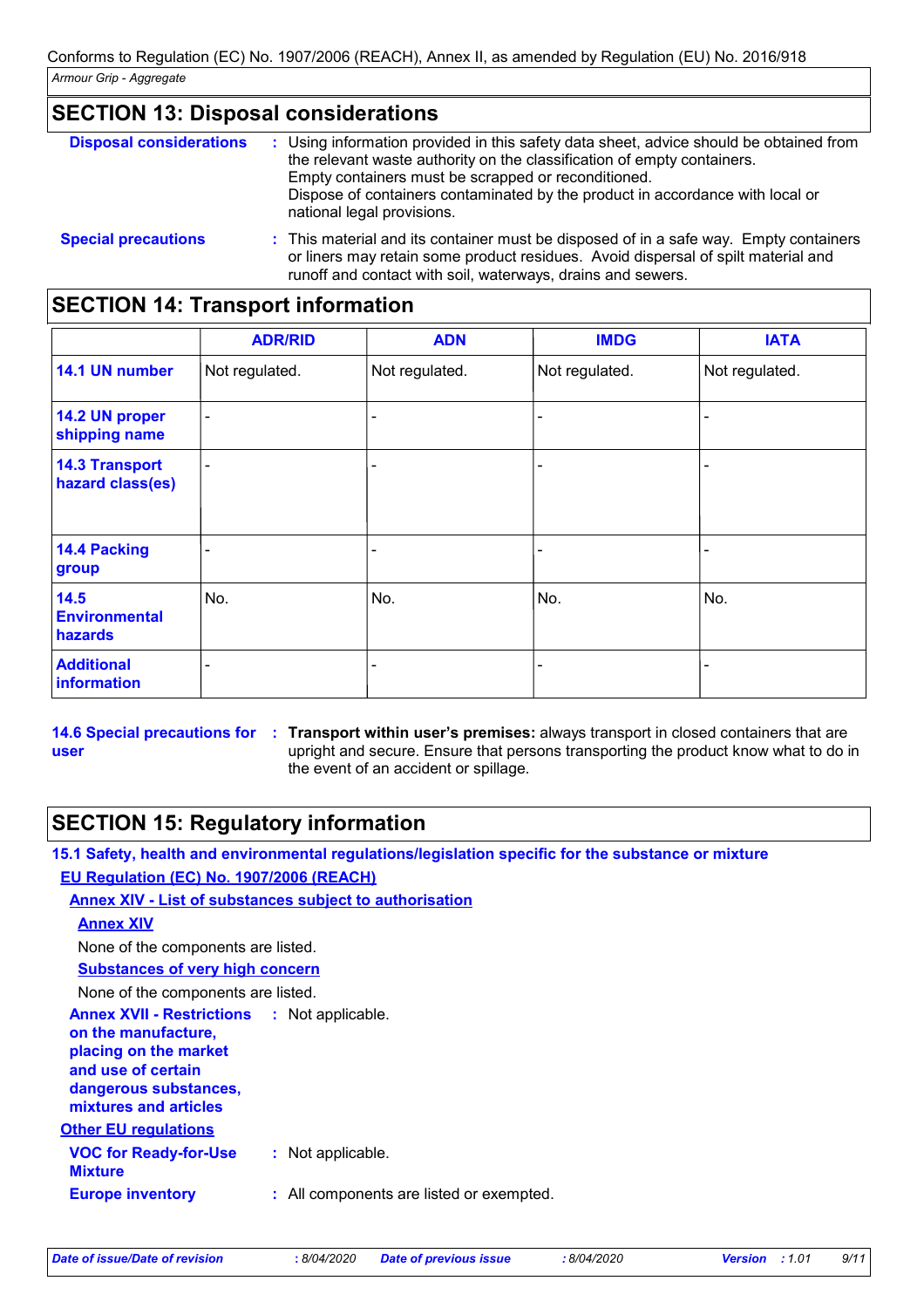| <b>SECTION 13: Disposal considerations</b> |                                                      |
|--------------------------------------------|------------------------------------------------------|
| <b>Disposal considerations</b>             | : Using information provided in this safety data she |

| <b>Disposal considerations</b> | : Using information provided in this safety data sheet, advice should be obtained from<br>the relevant waste authority on the classification of empty containers.<br>Empty containers must be scrapped or reconditioned.<br>Dispose of containers contaminated by the product in accordance with local or<br>national legal provisions. |
|--------------------------------|-----------------------------------------------------------------------------------------------------------------------------------------------------------------------------------------------------------------------------------------------------------------------------------------------------------------------------------------|
| <b>Special precautions</b>     | : This material and its container must be disposed of in a safe way. Empty containers<br>or liners may retain some product residues. Avoid dispersal of spilt material and                                                                                                                                                              |

runoff and contact with soil, waterways, drains and sewers.

# **SECTION 14: Transport information**

|                                           | <b>ADR/RID</b> | <b>ADN</b>     | <b>IMDG</b>    | <b>IATA</b>    |
|-------------------------------------------|----------------|----------------|----------------|----------------|
| 14.1 UN number                            | Not regulated. | Not regulated. | Not regulated. | Not regulated. |
| 14.2 UN proper<br>shipping name           | $\blacksquare$ |                |                |                |
| <b>14.3 Transport</b><br>hazard class(es) | -              |                |                |                |
| 14.4 Packing<br>group                     |                |                |                |                |
| 14.5<br><b>Environmental</b><br>hazards   | No.            | No.            | No.            | No.            |
| <b>Additional</b><br>information          |                |                |                |                |

**14.6 Special precautions for user Transport within user's premises:** always transport in closed containers that are **:** upright and secure. Ensure that persons transporting the product know what to do in the event of an accident or spillage.

# **SECTION 15: Regulatory information**

**15.1 Safety, health and environmental regulations/legislation specific for the substance or mixture EU Regulation (EC) No. 1907/2006 (REACH)**

**Annex XIV - List of substances subject to authorisation**

**Annex XIV**

None of the components are listed.

**Substances of very high concern**

None of the components are listed.

**Annex XVII - Restrictions :** Not applicable. **on the manufacture, placing on the market and use of certain dangerous substances, mixtures and articles**

**Other EU regulations**

| <b>VOC for Ready-for-Use</b><br>Mixture | : Not applicable.                        |
|-----------------------------------------|------------------------------------------|
| <b>Europe inventory</b>                 | : All components are listed or exempted. |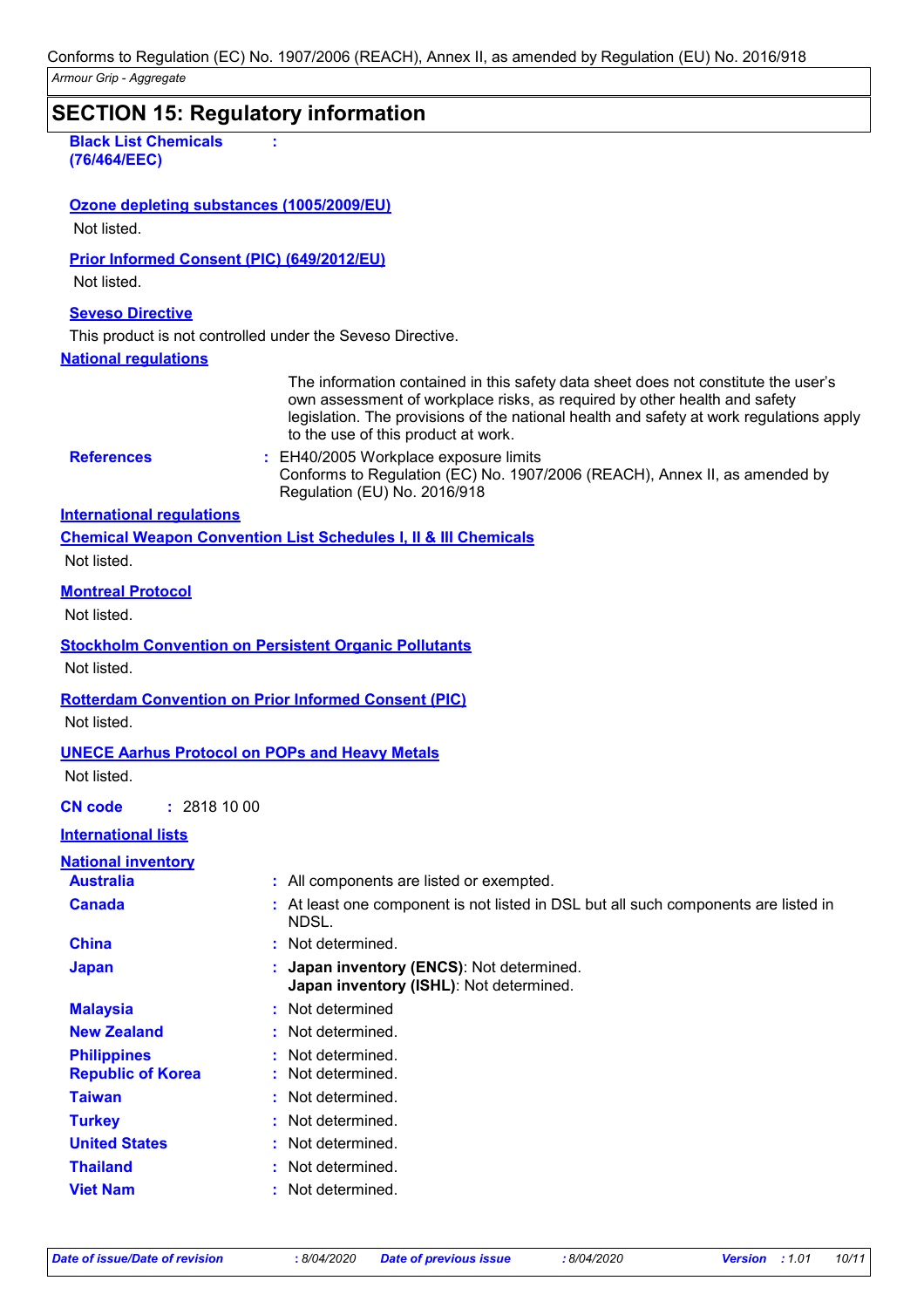| Armour Grip - Aggregate                           | borromo to regulation (EO) no. ToomEooo (nextory), minox ii, ao amondod by regulation (EO) no. Eo roi o ro                                                                                                                                                                                                                                                                                                               |
|---------------------------------------------------|--------------------------------------------------------------------------------------------------------------------------------------------------------------------------------------------------------------------------------------------------------------------------------------------------------------------------------------------------------------------------------------------------------------------------|
|                                                   | <b>SECTION 15: Regulatory information</b>                                                                                                                                                                                                                                                                                                                                                                                |
| <b>Black List Chemicals</b><br>(76/464/EEC)       |                                                                                                                                                                                                                                                                                                                                                                                                                          |
| Ozone depleting substances (1005/2009/EU)         |                                                                                                                                                                                                                                                                                                                                                                                                                          |
| Not listed.                                       |                                                                                                                                                                                                                                                                                                                                                                                                                          |
| <b>Prior Informed Consent (PIC) (649/2012/EU)</b> |                                                                                                                                                                                                                                                                                                                                                                                                                          |
| Not listed.                                       |                                                                                                                                                                                                                                                                                                                                                                                                                          |
|                                                   |                                                                                                                                                                                                                                                                                                                                                                                                                          |
| <b>Seveso Directive</b>                           |                                                                                                                                                                                                                                                                                                                                                                                                                          |
|                                                   | This product is not controlled under the Seveso Directive.                                                                                                                                                                                                                                                                                                                                                               |
| <b>National regulations</b>                       |                                                                                                                                                                                                                                                                                                                                                                                                                          |
| <b>References</b>                                 | The information contained in this safety data sheet does not constitute the user's<br>own assessment of workplace risks, as required by other health and safety<br>legislation. The provisions of the national health and safety at work regulations apply<br>to the use of this product at work.<br>: EH40/2005 Workplace exposure limits<br>Conforms to Regulation (EC) No. 1907/2006 (REACH), Annex II, as amended by |
|                                                   | Regulation (EU) No. 2016/918                                                                                                                                                                                                                                                                                                                                                                                             |
| <b>International requlations</b>                  |                                                                                                                                                                                                                                                                                                                                                                                                                          |
|                                                   | <b>Chemical Weapon Convention List Schedules I, II &amp; III Chemicals</b>                                                                                                                                                                                                                                                                                                                                               |
| Not listed.                                       |                                                                                                                                                                                                                                                                                                                                                                                                                          |
| <b>Montreal Protocol</b><br>Not listed.           |                                                                                                                                                                                                                                                                                                                                                                                                                          |
| Not listed.                                       | <b>Stockholm Convention on Persistent Organic Pollutants</b>                                                                                                                                                                                                                                                                                                                                                             |
|                                                   | <b>Rotterdam Convention on Prior Informed Consent (PIC)</b>                                                                                                                                                                                                                                                                                                                                                              |
| Not listed.                                       |                                                                                                                                                                                                                                                                                                                                                                                                                          |
|                                                   |                                                                                                                                                                                                                                                                                                                                                                                                                          |
| Not listed.                                       | <b>UNECE Aarhus Protocol on POPs and Heavy Metals</b>                                                                                                                                                                                                                                                                                                                                                                    |
| <b>CN code</b><br>: 28181000                      |                                                                                                                                                                                                                                                                                                                                                                                                                          |
| <b>International lists</b>                        |                                                                                                                                                                                                                                                                                                                                                                                                                          |
| <b>National inventory</b>                         |                                                                                                                                                                                                                                                                                                                                                                                                                          |
| <b>Australia</b>                                  | : All components are listed or exempted.                                                                                                                                                                                                                                                                                                                                                                                 |
| <b>Canada</b>                                     | : At least one component is not listed in DSL but all such components are listed in<br>NDSL.                                                                                                                                                                                                                                                                                                                             |
| <b>China</b>                                      | : Not determined.                                                                                                                                                                                                                                                                                                                                                                                                        |
| <b>Japan</b>                                      | Japan inventory (ENCS): Not determined.<br>Japan inventory (ISHL): Not determined.                                                                                                                                                                                                                                                                                                                                       |
| <b>Malaysia</b>                                   | : Not determined                                                                                                                                                                                                                                                                                                                                                                                                         |
| <b>New Zealand</b>                                | Not determined.                                                                                                                                                                                                                                                                                                                                                                                                          |
| <b>Philippines</b>                                | Not determined.                                                                                                                                                                                                                                                                                                                                                                                                          |
| <b>Republic of Korea</b>                          | Not determined.                                                                                                                                                                                                                                                                                                                                                                                                          |
| <b>Taiwan</b>                                     | Not determined.                                                                                                                                                                                                                                                                                                                                                                                                          |
| <b>Turkey</b>                                     | Not determined.                                                                                                                                                                                                                                                                                                                                                                                                          |
| <b>United States</b>                              | Not determined.                                                                                                                                                                                                                                                                                                                                                                                                          |
| <b>Thailand</b>                                   | Not determined.                                                                                                                                                                                                                                                                                                                                                                                                          |
| <b>Viet Nam</b>                                   | Not determined.                                                                                                                                                                                                                                                                                                                                                                                                          |